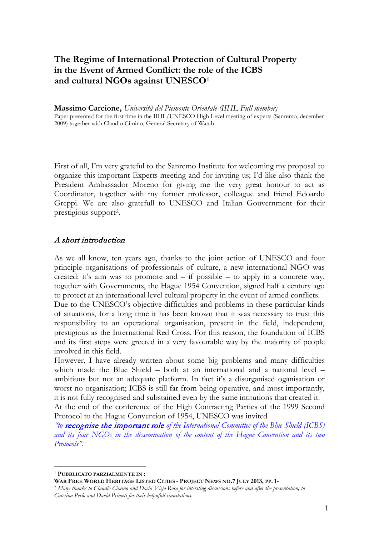## **The Regime of International Protection of Cultural Property in the Event of Armed Conflict: the role of the ICBS and cultural NGOs against UNESCO[1](#page-0-0)**

**Massimo Carcione,** *Università del Piemonte Orientale (IIHL Full member)* Paper presented for the first time in the IIHL/UNESCO High Level meeting of experts (Sanremo, december 2009) together with Claudio Cimino, General Secretary of Watch

First of all, I'm very grateful to the Sanremo Institute for welcoming my proposal to organize this important Experts meeting and for inviting us; I'd like also thank the President Ambassador Moreno for giving me the very great honour to act as Coordinator, together with my former professor, colleague and friend Edoardo Greppi. We are also gratefull to UNESCO and Italian Gouvernment for their prestigious support[2](#page-0-1).

#### A short introduction

As we all know, ten years ago, thanks to the joint action of UNESCO and four principle organisations of professionals of culture, a new international NGO was created: it's aim was to promote and  $-$  if possible  $-$  to apply in a concrete way, together with Governments, the Hague 1954 Convention, signed half a century ago to protect at an international level cultural property in the event of armed conflicts.

Due to the UNESCO's objective difficulties and problems in these particular kinds of situations, for a long time it has been known that it was necessary to trust this responsibility to an operational organisation, present in the field, independent, prestigious as the International Red Cross. For this reason, the foundation of ICBS and its first steps were greeted in a very favourable way by the majority of people involved in this field.

However, I have already written about some big problems and many difficulties which made the Blue Shield – both at an international and a national level – ambitious but not an adequate platform. In fact it's a disorganised oganisation or worst no-organisation; ICBS is still far from being operative, and most importantly, it is not fully recognised and substained even by the same intitutions that created it.

At the end of the conference of the High Contracting Parties of the 1999 Second Protocol to the Hague Convention of 1954, UNESCO was invited

*"to* recognise the important role *of the International Committee of the Blue Shield (ICBS) and its four NGOs in the dissemination of the content of the Hague Convention and its two Protocols"*.

-

<span id="page-0-0"></span><sup>1</sup> **PUBBLICATO PARZIALMENTE IN :**

**WAR FREE WORLD HERITAGE LISTED CITIES - PROJECT NEWS NO.7 JULY 2013, PP. 1-**

<span id="page-0-1"></span><sup>2</sup> *Many thanks to Claudio Cimino and Dacia Viejo-Rosa for intersting discussions before and after the presentation; to Caterina Perlo and David Primett for their helpufull translations*.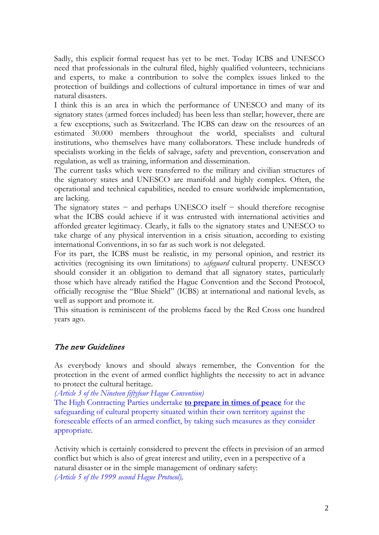Sadly, this explicit formal request has yet to be met. Today ICBS and UNESCO need that professionals in the cultural filed, highly qualified volunteers, technicians and experts, to make a contribution to solve the complex issues linked to the protection of buildings and collections of cultural importance in times of war and natural disasters.

I think this is an area in which the performance of UNESCO and many of its signatory states (armed forces included) has been less than stellar; however, there are a few exceptions, such as Switzerland. The ICBS can draw on the resources of an estimated 30.000 members throughout the world, specialists and cultural institutions, who themselves have many collaborators. These include hundreds of specialists working in the fields of salvage, safety and prevention, conservation and regulation, as well as training, information and dissemination.

The current tasks which were transferred to the military and civilian structures of the signatory states and UNESCO are manifold and highly complex. Often, the operational and technical capabilities, needed to ensure worldwide implementation, are lacking.

The signatory states − and perhaps UNESCO itself − should therefore recognise what the ICBS could achieve if it was entrusted with international activities and afforded greater legitimacy. Clearly, it falls to the signatory states and UNESCO to take charge of any physical intervention in a crisis situation, according to existing international Conventions, in so far as such work is not delegated.

For its part, the ICBS must be realistic, in my personal opinion, and restrict its activities (recognising its own limitations) to *safeguard* cultural property. UNESCO should consider it an obligation to demand that all signatory states, particularly those which have already ratified the Hague Convention and the Second Protocol, officially recognise the "Blue Shield" (ICBS) at international and national levels, as well as support and promote it.

This situation is reminiscent of the problems faced by the Red Cross one hundred years ago.

### The new Guidelines

As everybody knows and should always remember, the Convention for the protection in the event of armed conflict highlights the necessity to act in advance to protect the cultural heritage.

*(Article 3 of the Nineteen fiftyfour Hague Convention)* 

The High Contracting Parties undertake **to prepare in times of peace** for the safeguarding of cultural property situated within their own territory against the foreseeable effects of an armed conflict, by taking such measures as they consider appropriate.

Activity which is certainly considered to prevent the effects in prevision of an armed conflict but which is also of great interest and utility, even in a perspective of a natural disaster or in the simple management of ordinary safety: *(Article 5 of the 1999 second Hague Protocol),*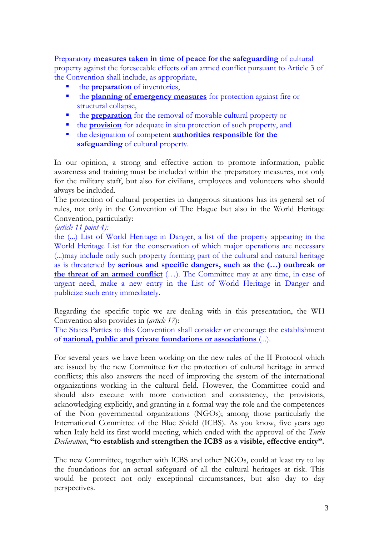Preparatory **measures taken in time of peace for the safeguarding** of cultural property against the foreseeable effects of an armed conflict pursuant to Article 3 of the Convention shall include, as appropriate,

- the **preparation** of inventories,
- the **planning of emergency measures** for protection against fire or structural collapse,
- **the preparation** for the removal of movable cultural property or
- **the provision** for adequate in situ protection of such property, and
- the designation of competent **authorities responsible for the safeguarding** of cultural property.

In our opinion, a strong and effective action to promote information, public awareness and training must be included within the preparatory measures, not only for the military staff, but also for civilians, employees and volunteers who should always be included.

The protection of cultural properties in dangerous situations has its general set of rules, not only in the Convention of The Hague but also in the World Heritage Convention, particularly:

*(article 11 point 4):*

the (...) List of World Heritage in Danger, a list of the property appearing in the World Heritage List for the conservation of which major operations are necessary (...)may include only such property forming part of the cultural and natural heritage as is threatened by **serious and specific dangers, such as the (…) outbreak or the threat of an armed conflict** (…). The Committee may at any time, in case of urgent need, make a new entry in the List of World Heritage in Danger and publicize such entry immediately.

Regarding the specific topic we are dealing with in this presentation, the WH Convention also provides in (*article 17*):

The States Parties to this Convention shall consider or encourage the establishment of **national, public and private foundations or associations** (...).

For several years we have been working on the new rules of the II Protocol which are issued by the new Committee for the protection of cultural heritage in armed conflicts; this also answers the need of improving the system of the international organizations working in the cultural field. However, the Committee could and should also execute with more conviction and consistency, the provisions, acknowledging explicitly, and granting in a formal way the role and the competences of the Non governmental organizations (NGOs); among those particularly the International Committee of the Blue Shield (ICBS). As you know, five years ago when Italy held its first world meeting, which ended with the approval of the *Turin Declaration*, **"to establish and strengthen the ICBS as a visible, effective entity".**

The new Committee, together with ICBS and other NGOs, could at least try to lay the foundations for an actual safeguard of all the cultural heritages at risk. This would be protect not only exceptional circumstances, but also day to day perspectives.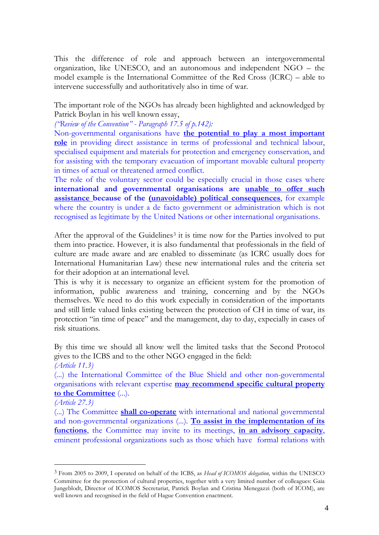This the difference of role and approach between an intergovernmental organization, like UNESCO, and an autonomous and independent NGO – the model example is the International Committee of the Red Cross (ICRC) – able to intervene successfully and authoritatively also in time of war.

The important role of the NGOs has already been highlighted and acknowledged by Patrick Boylan in his well known essay,

*("Review of the Convention" - Paragraph 17.5 of p.142):*

Non-governmental organisations have **the potential to play a most important role** in providing direct assistance in terms of professional and technical labour, specialised equipment and materials for protection and emergency conservation, and for assisting with the temporary evacuation of important movable cultural property in times of actual or threatened armed conflict.

The role of the voluntary sector could be especially crucial in those cases where **international and governmental organisations are unable to offer such assistance because of the (unavoidable) political consequences**, for example where the country is under a de facto government or administration which is not recognised as legitimate by the United Nations or other international organisations.

After the approval of the Guidelines<sup>[3](#page-3-0)</sup> it is time now for the Parties involved to put them into practice. However, it is also fundamental that professionals in the field of culture are made aware and are enabled to disseminate (as ICRC usually does for International Humanitarian Law) these new international rules and the criteria set for their adoption at an international level.

This is why it is necessary to organize an efficient system for the promotion of information, public awareness and training, concerning and by the NGOs themselves. We need to do this work expecially in consideration of the importants and still little valued links existing between the protection of CH in time of war, its protection "in time of peace" and the management, day to day, expecially in cases of risk situations.

By this time we should all know well the limited tasks that the Second Protocol gives to the ICBS and to the other NGO engaged in the field:

(...) the International Committee of the Blue Shield and other non-governmental organisations with relevant expertise **may recommend specific cultural property to the Committee** (...).

*(Article 27.3)*

-

(...) The Committee **shall co-operate** with international and national governmental and non-governmental organizations (...). **To assist in the implementation of its functions**, the Committee may invite to its meetings, **in an advisory capacity**, eminent professional organizations such as those which have formal relations with

*<sup>(</sup>Article 11.3)* 

<span id="page-3-0"></span><sup>3</sup> From 2005 to 2009, I operated on behalf of the ICBS, as *Head of ICOMOS delegation,* within the UNESCO Committee for the protection of cultural properties, together with a very limited number of colleagues: Gaia Jungeblodt, Director of ICOMOS Secretariat, Patrick Boylan and Cristina Menegazzi (both of ICOM), are well known and recognised in the field of Hague Convention enactment.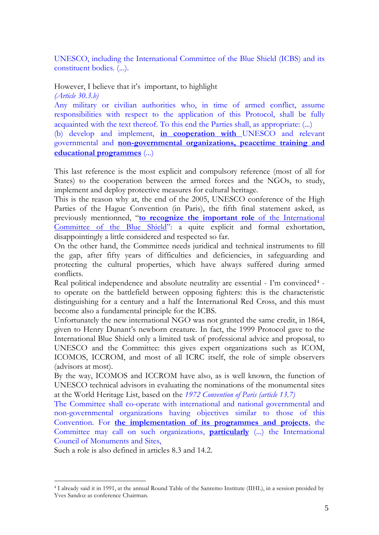UNESCO, including the International Committee of the Blue Shield (ICBS) and its constituent bodies. (...).

# However, I believe that it's important, to highlight

*(Article 30.3.b)* 

Any military or civilian authorities who, in time of armed conflict, assume responsibilities with respect to the application of this Protocol, shall be fully acquainted with the text thereof. To this end the Parties shall, as appropriate: (...)

(b) develop and implement, **in cooperation with** UNESCO and relevant governmental and **non-governmental organizations, peacetime training and educational programmes** (...)

This last reference is the most explicit and compulsory reference (most of all for States) to the cooperation between the armed forces and the NGOs, to study, implement and deploy protective measures for cultural heritage.

This is the reason why at, the end of the 2005, UNESCO conference of the High Parties of the Hague Convention (in Paris), the fifth final statement asked, as previously mentionned, "**to recognize the important role** of the International Committee of the Blue Shield": a quite explicit and formal exhortation, disappointingly a little considered and respected so far.

On the other hand, the Committee needs juridical and technical instruments to fill the gap, after fifty years of difficulties and deficiencies, in safeguarding and protecting the cultural properties, which have always suffered during armed conflicts.

Real political independence and absolute neutrality are essential - I'm convinced<sup>[4](#page-4-0)</sup> to operate on the battlefield between opposing fighters: this is the characteristic distinguishing for a century and a half the International Red Cross, and this must become also a fundamental principle for the ICBS.

Unfortunately the new international NGO was not granted the same credit, in 1864, given to Henry Dunant's newborn creature. In fact, the 1999 Protocol gave to the International Blue Shield only a limited task of professional advice and proposal, to UNESCO and the Committee: this gives expert organizations such as ICOM, ICOMOS, ICCROM, and most of all ICRC itself, the role of simple observers (advisors at most).

By the way, ICOMOS and ICCROM have also, as is well known, the function of UNESCO technical advisors in evaluating the nominations of the monumental sites at the World Heritage List, based on the *1972 Convention of Paris (article 13.7)*

The Committee shall co-operate with international and national governmental and non-governmental organizations having objectives similar to those of this Convention. For **the implementation of its programmes and projects**, the Committee may call on such organizations, **particularly** (...) the International Council of Monuments and Sites,

Such a role is also defined in articles 8.3 and 14.2.

<span id="page-4-0"></span><sup>&</sup>lt;u>.</u> <sup>4</sup> I already said it in 1991, at the annual Round Table of the Sanremo Institute (IIHL), in a session presided by Yves Sandoz as conference Chairman.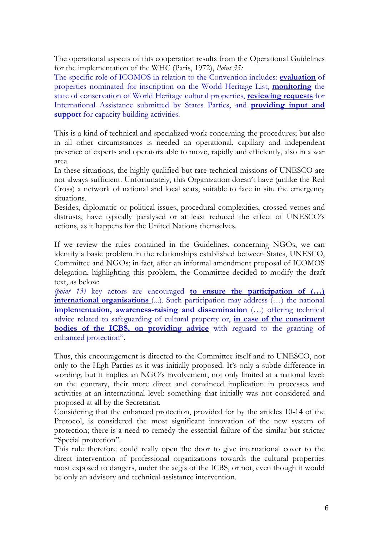The operational aspects of this cooperation results from the Operational Guidelines for the implementation of the WHC (Paris, 1972), *Point 35:* 

The specific role of ICOMOS in relation to the Convention includes: **evaluation** of properties nominated for inscription on the World Heritage List, **monitoring** the state of conservation of World Heritage cultural properties, **reviewing requests** for International Assistance submitted by States Parties, and **providing input and support** for capacity building activities.

This is a kind of technical and specialized work concerning the procedures; but also in all other circumstances is needed an operational, capillary and independent presence of experts and operators able to move, rapidly and efficiently, also in a war area.

In these situations, the highly qualified but rare technical missions of UNESCO are not always sufficient. Unfortunately, this Organization doesn't have (unlike the Red Cross) a network of national and local seats, suitable to face in situ the emergency situations.

Besides, diplomatic or political issues, procedural complexities, crossed vetoes and distrusts, have typically paralysed or at least reduced the effect of UNESCO's actions, as it happens for the United Nations themselves.

If we review the rules contained in the Guidelines, concerning NGOs, we can identify a basic problem in the relationships established between States, UNESCO, Committee and NGOs; in fact, after an informal amendment proposal of ICOMOS delegation, highlighting this problem, the Committee decided to modify the draft text, as below:

*(point 13)* key actors are encouraged **to ensure the participation of (…) international organisations** (...). Such participation may address (...) the national **implementation, awareness-raising and dissemination** (…) offering technical advice related to safeguarding of cultural property or, **in case of the constituent bodies of the ICBS, on providing advice** with reguard to the granting of enhanced protection".

Thus, this encouragement is directed to the Committee itself and to UNESCO, not only to the High Parties as it was initially proposed. It's only a subtle difference in wording, but it implies an NGO's involvement, not only limited at a national level: on the contrary, their more direct and convinced implication in processes and activities at an international level: something that initially was not considered and proposed at all by the Secretariat.

Considering that the enhanced protection, provided for by the articles 10-14 of the Protocol, is considered the most significant innovation of the new system of protection; there is a need to remedy the essential failure of the similar but stricter "Special protection".

This rule therefore could really open the door to give international cover to the direct intervention of professional organizations towards the cultural properties most exposed to dangers, under the aegis of the ICBS, or not, even though it would be only an advisory and technical assistance intervention.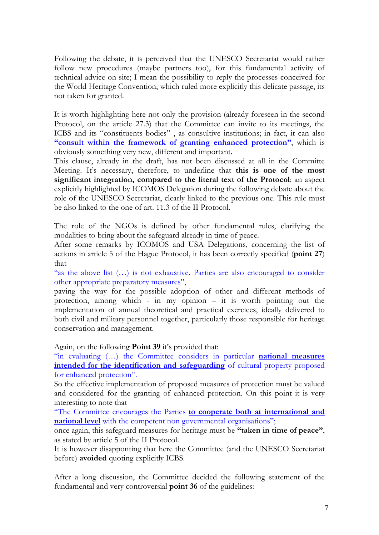Following the debate, it is perceived that the UNESCO Secretariat would rather follow new procedures (maybe partners too), for this fundamental activity of technical advice on site; I mean the possibility to reply the processes conceived for the World Heritage Convention, which ruled more explicitly this delicate passage, its not taken for granted.

It is worth highlighting here not only the provision (already foreseen in the second Protocol, on the article 27.3) that the Committee can invite to its meetings, the ICBS and its "constituents bodies" , as consultive institutions; in fact, it can also **"consult within the framework of granting enhanced protection"**, which is obviously something very new, different and important.

This clause, already in the draft, has not been discussed at all in the Committe Meeting. It's necessary, therefore, to underline that **this is one of the most significant integration, compared to the literal text of the Protocol**: an aspect explicitly highlighted by ICOMOS Delegation during the following debate about the role of the UNESCO Secretariat, clearly linked to the previous one. This rule must be also linked to the one of art. 11.3 of the II Protocol.

The role of the NGOs is defined by other fundamental rules, clarifying the modalities to bring about the safeguard already in time of peace.

After some remarks by ICOMOS and USA Delegations, concerning the list of actions in article 5 of the Hague Protocol, it has been correctly specified (**point 27**) that

"as the above list (…) is not exhaustive. Parties are also encouraged to consider other appropriate preparatory measures",

paving the way for the possible adoption of other and different methods of protection, among which - in my opinion – it is worth pointing out the implementation of annual theoretical and practical exercices, ideally delivered to both civil and military personnel together, particularly those responsible for heritage conservation and management.

Again, on the following **Point 39** it's provided that:

"in evaluating (…) the Committee considers in particular **national measures intended for the identification and safeguarding** of cultural property proposed for enhanced protection".

So the effective implementation of proposed measures of protection must be valued and considered for the granting of enhanced protection. On this point it is very interesting to note that

"The Committee encourages the Parties **to cooperate both at international and national level** with the competent non governmental organisations";

once again, this safeguard measures for heritage must be **"taken in time of peace"**, as stated by article 5 of the II Protocol.

It is however disapponting that here the Committee (and the UNESCO Secretariat before) **avoided** quoting explicitly ICBS.

After a long discussion, the Committee decided the following statement of the fundamental and very controversial **point 36** of the guidelines: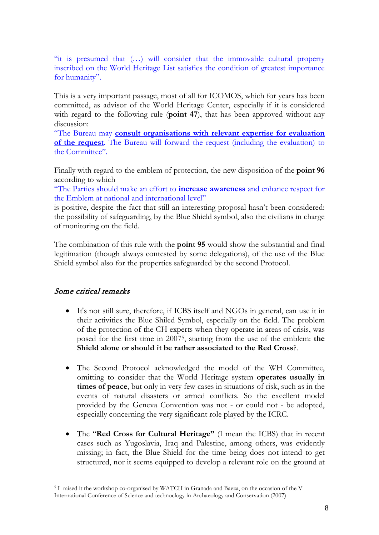"it is presumed that (…) will consider that the immovable cultural property inscribed on the World Heritage List satisfies the condition of greatest importance for humanity".

This is a very important passage, most of all for ICOMOS, which for years has been committed, as advisor of the World Heritage Center, especially if it is considered with regard to the following rule (**point 47**), that has been approved without any discussion:

"The Bureau may **consult organisations with relevant expertise for evaluation of the request**. The Bureau will forward the request (including the evaluation) to the Committee".

Finally with regard to the emblem of protection, the new disposition of the **point 96** according to which

"The Parties should make an effort to **increase awareness** and enhance respect for the Emblem at national and international level"

is positive, despite the fact that still an interesting proposal hasn't been considered: the possibility of safeguarding, by the Blue Shield symbol, also the civilians in charge of monitoring on the field.

The combination of this rule with the **point 95** would show the substantial and final legitimation (though always contested by some delegations), of the use of the Blue Shield symbol also for the properties safeguarded by the second Protocol.

### Some critical remarks

<u>.</u>

- It's not still sure, therefore, if ICBS itself and NGOs in general, can use it in their activities the Blue Shiled Symbol, especially on the field. The problem of the protection of the CH experts when they operate in areas of crisis, was posed for the first time in 2007[5,](#page-7-0) starting from the use of the emblem: **the Shield alone or should it be rather associated to the Red Cross**?.
- The Second Protocol acknowledged the model of the WH Committee, omitting to consider that the World Heritage system **operates usually in times of peace**, but only in very few cases in situations of risk, such as in the events of natural disasters or armed conflicts. So the excellent model provided by the Geneva Convention was not - or could not - be adopted, especially concerning the very significant role played by the ICRC.
- The "**Red Cross for Cultural Heritage"** (I mean the ICBS) that in recent cases such as Yugoslavia, Iraq and Palestine, among others, was evidently missing; in fact, the Blue Shield for the time being does not intend to get structured, nor it seems equipped to develop a relevant role on the ground at

<span id="page-7-0"></span><sup>5</sup> I raised it the workshop co-organised by WATCH in Granada and Baeza, on the occasion of the V International Conference of Science and technoclogy in Archaeology and Conservation (2007)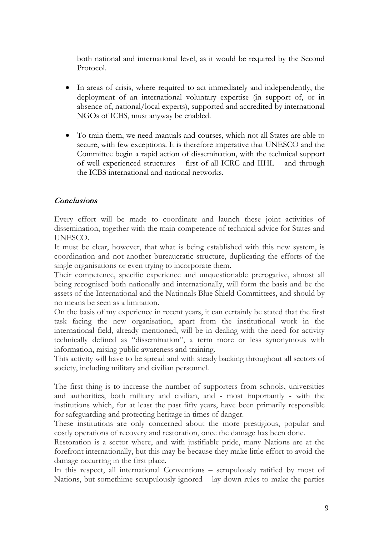both national and international level, as it would be required by the Second Protocol.

- In areas of crisis, where required to act immediately and independently, the deployment of an international voluntary expertise (in support of, or in absence of, national/local experts), supported and accredited by international NGOs of ICBS, must anyway be enabled.
- To train them, we need manuals and courses, which not all States are able to secure, with few exceptions. It is therefore imperative that UNESCO and the Committee begin a rapid action of dissemination, with the technical support of well experienced structures – first of all ICRC and IIHL – and through the ICBS international and national networks.

### Conclusions

Every effort will be made to coordinate and launch these joint activities of dissemination, together with the main competence of technical advice for States and UNESCO.

It must be clear, however, that what is being established with this new system, is coordination and not another bureaucratic structure, duplicating the efforts of the single organisations or even trying to incorporate them.

Their competence, specific experience and unquestionable prerogative, almost all being recognised both nationally and internationally, will form the basis and be the assets of the International and the Nationals Blue Shield Committees, and should by no means be seen as a limitation.

On the basis of my experience in recent years, it can certainly be stated that the first task facing the new organisation, apart from the institutional work in the international field, already mentioned, will be in dealing with the need for activity technically defined as "dissemination", a term more or less synonymous with information, raising public awareness and training.

This activity will have to be spread and with steady backing throughout all sectors of society, including military and civilian personnel.

The first thing is to increase the number of supporters from schools, universities and authorities, both military and civilian, and - most importantly - with the institutions which, for at least the past fifty years, have been primarily responsible for safeguarding and protecting heritage in times of danger.

These institutions are only concerned about the more prestigious, popular and costly operations of recovery and restoration, once the damage has been done.

Restoration is a sector where, and with justifiable pride, many Nations are at the forefront internationally, but this may be because they make little effort to avoid the damage occurring in the first place.

In this respect, all international Conventions – scrupulously ratified by most of Nations, but somethime scrupulously ignored – lay down rules to make the parties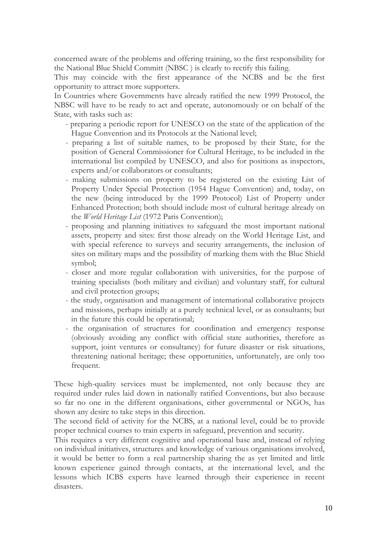concerned aware of the problems and offering training, so the first responsibility for the National Blue Shield Committ (NBSC ) is clearly to rectify this failing.

This may coincide with the first appearance of the NCBS and be the first opportunity to attract more supporters.

In Countries where Governments have already ratified the new 1999 Protocol, the NBSC will have to be ready to act and operate, autonomously or on behalf of the State, with tasks such as:

- preparing a periodic report for UNESCO on the state of the application of the Hague Convention and its Protocols at the National level;
- preparing a list of suitable names, to be proposed by their State, for the position of General Commissioner for Cultural Heritage, to be included in the international list compiled by UNESCO, and also for positions as inspectors, experts and/or collaborators or consultants;
- making submissions on property to be registered on the existing List of Property Under Special Protection (1954 Hague Convention) and, today, on the new (being introduced by the 1999 Protocol) List of Property under Enhanced Protection; both should include most of cultural heritage already on the *World Heritage List* (1972 Paris Convention);
- proposing and planning initiatives to safeguard the most important national assets, property and sites: first those already on the World Heritage List, and with special reference to surveys and security arrangements, the inclusion of sites on military maps and the possibility of marking them with the Blue Shield symbol;
- closer and more regular collaboration with universities, for the purpose of training specialists (both military and civilian) and voluntary staff, for cultural and civil protection groups;
- the study, organisation and management of international collaborative projects and missions, perhaps initially at a purely technical level, or as consultants; but in the future this could be operational;
- the organisation of structures for coordination and emergency response (obviously avoiding any conflict with official state authorities, therefore as support, joint ventures or consultancy) for future disaster or risk situations, threatening national heritage; these opportunities, unfortunately, are only too frequent.

These high-quality services must be implemented, not only because they are required under rules laid down in nationally ratified Conventions, but also because so far no one in the different organisations, either governmental or NGOs, has shown any desire to take steps in this direction.

The second field of activity for the NCBS, at a national level, could be to provide proper technical courses to train experts in safeguard, prevention and security.

This requires a very different cognitive and operational base and, instead of relying on individual initiatives, structures and knowledge of various organisations involved, it would be better to form a real partnership sharing the as yet limited and little known experience gained through contacts, at the international level, and the lessons which ICBS experts have learned through their experience in recent disasters.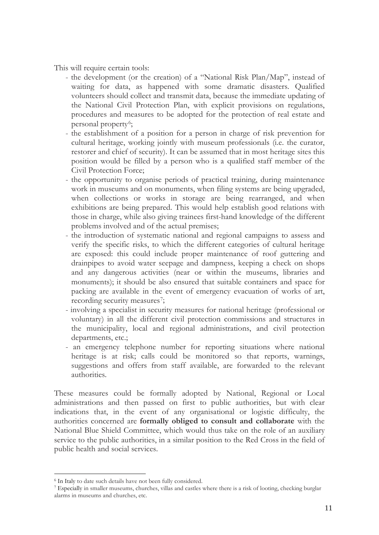This will require certain tools:

- the development (or the creation) of a "National Risk Plan/Map", instead of waiting for data, as happened with some dramatic disasters. Qualified volunteers should collect and transmit data, because the immediate updating of the National Civil Protection Plan, with explicit provisions on regulations, procedures and measures to be adopted for the protection of real estate and personal property<sup>6</sup>;
- the establishment of a position for a person in charge of risk prevention for cultural heritage, working jointly with museum professionals (i.e. the curator, restorer and chief of security). It can be assumed that in most heritage sites this position would be filled by a person who is a qualified staff member of the Civil Protection Force;
- the opportunity to organise periods of practical training, during maintenance work in museums and on monuments, when filing systems are being upgraded, when collections or works in storage are being rearranged, and when exhibitions are being prepared. This would help establish good relations with those in charge, while also giving trainees first-hand knowledge of the different problems involved and of the actual premises;
- the introduction of systematic national and regional campaigns to assess and verify the specific risks, to which the different categories of cultural heritage are exposed: this could include proper maintenance of roof guttering and drainpipes to avoid water seepage and dampness, keeping a check on shops and any dangerous activities (near or within the museums, libraries and monuments); it should be also ensured that suitable containers and space for packing are available in the event of emergency evacuation of works of art, recording security measures<sup>7</sup>;
- involving a specialist in security measures for national heritage (professional or voluntary) in all the different civil protection commissions and structures in the municipality, local and regional administrations, and civil protection departments, etc.;
- an emergency telephone number for reporting situations where national heritage is at risk; calls could be monitored so that reports, warnings, suggestions and offers from staff available, are forwarded to the relevant authorities.

These measures could be formally adopted by National, Regional or Local administrations and then passed on first to public authorities, but with clear indications that, in the event of any organisational or logistic difficulty, the authorities concerned are **formally obliged to consult and collaborate** with the National Blue Shield Committee, which would thus take on the role of an auxiliary service to the public authorities, in a similar position to the Red Cross in the field of public health and social services.

<span id="page-10-0"></span><sup>-</sup><sup>6</sup> In Italy to date such details have not been fully considered.

<span id="page-10-1"></span><sup>7</sup> Especially in smaller museums, churches, villas and castles where there is a risk of looting, checking burglar alarms in museums and churches, etc.